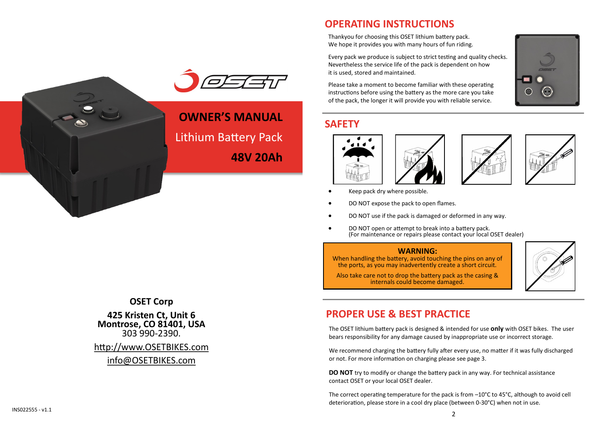Thankyou for choosing this OSET lithium battery pack. We hope it provides you with many hours of fun riding.

**OPERATING INSTRUCTIONS**

Every pack we produce is subject to strict testing and quality checks. Nevertheless the service life of the pack is dependent on how it is used, stored and maintained.

Please take a moment to become familiar with these operating instructions before using the battery as the more care you take of the pack, the longer it will provide you with reliable service.

### **SAFETY**







- Keep pack dry where possible.
- DO NOT expose the pack to open flames.
- DO NOT use if the pack is damaged or deformed in any way.
- DO NOT open or attempt to break into a battery pack. (For maintenance or repairs please contact your local OSET dealer)

#### **WARNING:**

When handling the battery, avoid touching the pins on any of the ports, as you may inadvertently create a short circuit.

Also take care not to drop the battery pack as the casing & internals could become damaged.



### **PROPER USE & BEST PRACTICE**

The OSET lithium battery pack is designed & intended for use **only** with OSET bikes. The user bears responsibility for any damage caused by inappropriate use or incorrect storage.

We recommend charging the battery fully after every use, no matter if it was fully discharged or not. For more information on charging please see page 3.

**DO NOT** try to modify or change the battery pack in any way. For technical assistance contact OSET or your local OSET dealer.

The correct operating temperature for the pack is from  $-10^{\circ}$ C to 45 $^{\circ}$ C, although to avoid cell deterioration, please store in a cool dry place (between 0-30°C) when not in use.



**OWNER'S MANUAL**  Lithium Battery Pack **48V 20Ah**

**OSET Corp**

**425 Kristen Ct, Unit 6 Montrose, CO 81401, USA** 303 990-2390.

#### [http://www.OSETBIKES.com](http://www.osetbikes.com/)

#### [info@OSETBIKES.com](file://///Ian/d/My%20Documents-D/Oliver-Project/Instructions/OSET%20Manual/info@OSETBIKES.com)